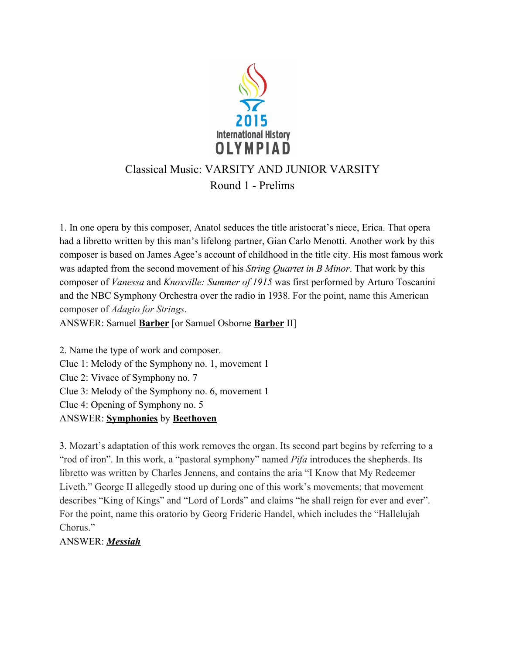

# Classical Music: VARSITY AND JUNIOR VARSITY Round 1 - Prelims

1. In one opera by this composer, Anatol seduces the title aristocrat's niece, Erica. That opera had a libretto written by this man's lifelong partner, Gian Carlo Menotti. Another work by this composer is based on James Agee's account of childhood in the title city. His most famous work was adapted from the second movement of his *String Quartet in B Minor*. That work by this composer of Vanessa and Knoxville: Summer of 1915 was first performed by Arturo Toscanini and the NBC Symphony Orchestra over the radio in 1938. For the point, name this American composer of Adagio for Strings.

ANSWER: Samuel Barber [or Samuel Osborne Barber II]

2. Name the type of work and composer. Clue 1: Melody of the Symphony no. 1, movement 1 Clue 2: Vivace of Symphony no. 7 Clue 3: Melody of the Symphony no. 6, movement 1 Clue 4: Opening of Symphony no. 5 ANSWER: Symphonies by Beethoven

3. Mozart's adaptation of this work removes the organ. Its second part begins by referring to a "rod of iron". In this work, a "pastoral symphony" named *Pifa* introduces the shepherds. Its libretto was written by Charles Jennens, and contains the aria "I Know that My Redeemer Liveth." George II allegedly stood up during one of this work's movements; that movement describes "King of Kings" and "Lord of Lords" and claims "he shall reign for ever and ever". For the point, name this oratorio by Georg Frideric Handel, which includes the "Hallelujah Chorus."

ANSWER: Messiah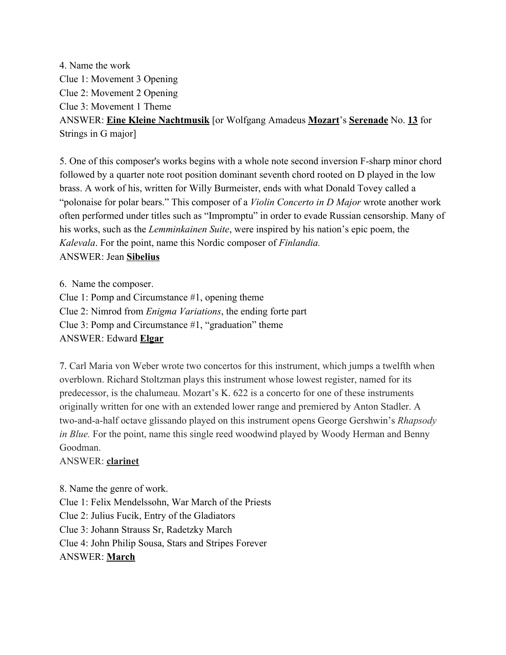4. Name the work Clue 1: Movement 3 Opening Clue 2: Movement 2 Opening Clue 3: Movement 1 Theme ANSWER: Eine Kleine Nachtmusik [or Wolfgang Amadeus Mozart's Serenade No. 13 for Strings in G major]

5. One of this composer's works begins with a whole note second inversion F-sharp minor chord followed by a quarter note root position dominant seventh chord rooted on D played in the low brass. A work of his, written for Willy Burmeister, ends with what Donald Tovey called a "polonaise for polar bears." This composer of a *Violin Concerto in D Major* wrote another work often performed under titles such as "Impromptu" in order to evade Russian censorship. Many of his works, such as the Lemminkainen Suite, were inspired by his nation's epic poem, the Kalevala. For the point, name this Nordic composer of Finlandia. ANSWER: Jean Sibelius

6. Name the composer. Clue 1: Pomp and Circumstance #1, opening theme Clue 2: Nimrod from Enigma Variations, the ending forte part Clue 3: Pomp and Circumstance #1, "graduation" theme ANSWER: Edward Elgar

7. Carl Maria von Weber wrote two concertos for this instrument, which jumps a twelfth when overblown. Richard Stoltzman plays this instrument whose lowest register, named for its predecessor, is the chalumeau. Mozart's K. 622 is a concerto for one of these instruments originally written for one with an extended lower range and premiered by Anton Stadler. A two-and-a-half octave glissando played on this instrument opens George Gershwin's Rhapsody in Blue. For the point, name this single reed woodwind played by Woody Herman and Benny Goodman.

### ANSWER: clarinet

8. Name the genre of work. Clue 1: Felix Mendelssohn, War March of the Priests Clue 2: Julius Fucik, Entry of the Gladiators Clue 3: Johann Strauss Sr, Radetzky March Clue 4: John Philip Sousa, Stars and Stripes Forever ANSWER: March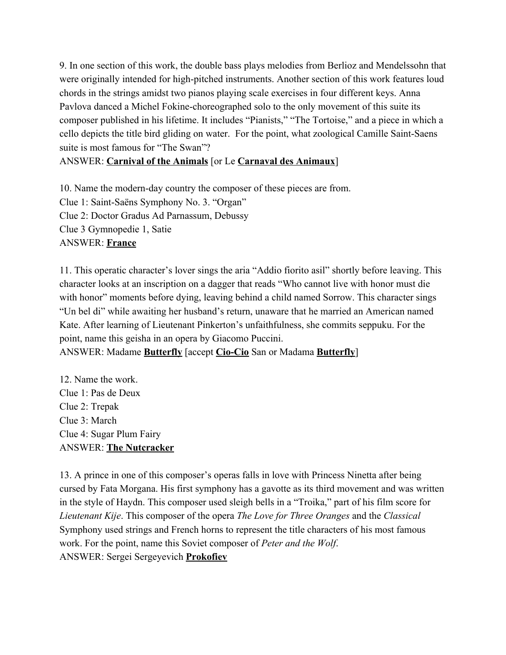9. In one section of this work, the double bass plays melodies from Berlioz and Mendelssohn that were originally intended for high-pitched instruments. Another section of this work features loud chords in the strings amidst two pianos playing scale exercises in four different keys. Anna Pavlova danced a Michel Fokine-choreographed solo to the only movement of this suite its composer published in his lifetime. It includes "Pianists," "The Tortoise," and a piece in which a cello depicts the title bird gliding on water. For the point, what zoological Camille Saint-Saens suite is most famous for "The Swan"?

## ANSWER: Carnival of the Animals [or Le Carnaval des Animaux]

10. Name the modern-day country the composer of these pieces are from. Clue 1: Saint-Saëns Symphony No. 3. "Organ" Clue 2: Doctor Gradus Ad Parnassum, Debussy Clue 3 Gymnopedie 1, Satie ANSWER: France

11. This operatic character's lover sings the aria "Addio fiorito asil" shortly before leaving. This character looks at an inscription on a dagger that reads "Who cannot live with honor must die with honor" moments before dying, leaving behind a child named Sorrow. This character sings "Un bel di" while awaiting her husband's return, unaware that he married an American named Kate. After learning of Lieutenant Pinkerton's unfaithfulness, she commits seppuku. For the point, name this geisha in an opera by Giacomo Puccini. ANSWER: Madame **Butterfly** [accept *Cio-Cio* San or Madama **Butterfly**]

12. Name the work. Clue 1: Pas de Deux Clue 2: Trepak Clue 3: March Clue 4: Sugar Plum Fairy ANSWER: The Nutcracker

13. A prince in one of this composer's operas falls in love with Princess Ninetta after being cursed by Fata Morgana. His first symphony has a gavotte as its third movement and was written in the style of Haydn. This composer used sleigh bells in a "Troika," part of his film score for Lieutenant Kije. This composer of the opera The Love for Three Oranges and the Classical Symphony used strings and French horns to represent the title characters of his most famous work. For the point, name this Soviet composer of Peter and the Wolf. ANSWER: Sergei Sergeyevich **Prokofiev**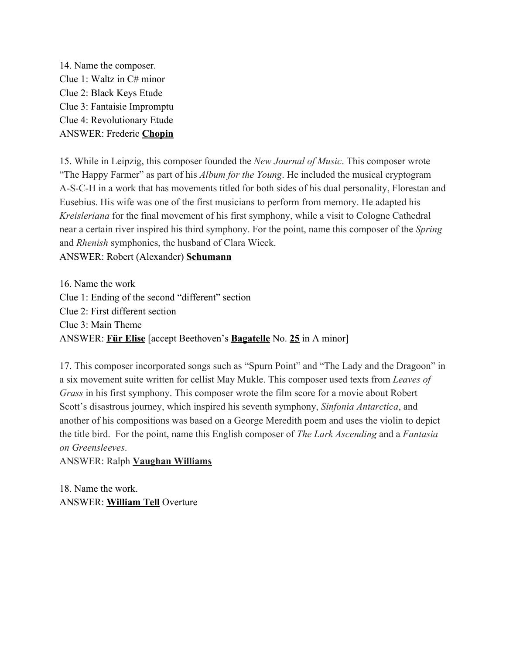14. Name the composer. Clue 1: Waltz in C# minor Clue 2: Black Keys Etude Clue 3: Fantaisie Impromptu Clue 4: Revolutionary Etude ANSWER: Frederic Chopin

15. While in Leipzig, this composer founded the New Journal of Music. This composer wrote "The Happy Farmer" as part of his *Album for the Young*. He included the musical cryptogram ASCH in a work that has movements titled for both sides of his dual personality, Florestan and Eusebius. His wife was one of the first musicians to perform from memory. He adapted his Kreisleriana for the final movement of his first symphony, while a visit to Cologne Cathedral near a certain river inspired his third symphony. For the point, name this composer of the Spring and Rhenish symphonies, the husband of Clara Wieck.

ANSWER: Robert (Alexander) Schumann

16. Name the work Clue 1: Ending of the second "different" section Clue 2: First different section Clue 3: Main Theme ANSWER: Für Elise [accept Beethoven's **Bagatelle** No. 25 in A minor]

17. This composer incorporated songs such as "Spurn Point" and "The Lady and the Dragoon" in a six movement suite written for cellist May Mukle. This composer used texts from Leaves of Grass in his first symphony. This composer wrote the film score for a movie about Robert Scott's disastrous journey, which inspired his seventh symphony, Sinfonia Antarctica, and another of his compositions was based on a George Meredith poem and uses the violin to depict the title bird. For the point, name this English composer of The Lark Ascending and a Fantasia on Greensleeves.

ANSWER: Ralph Vaughan Williams

18. Name the work. ANSWER: William Tell Overture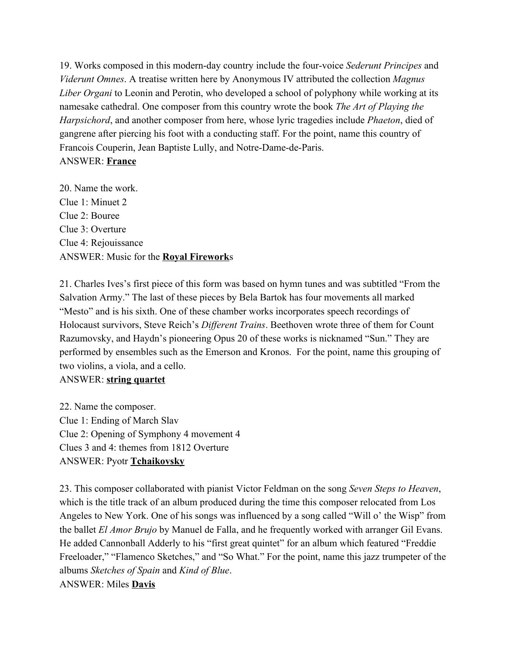19. Works composed in this modern-day country include the four-voice Sederunt Principes and Viderunt Omnes. A treatise written here by Anonymous IV attributed the collection Magnus Liber Organi to Leonin and Perotin, who developed a school of polyphony while working at its namesake cathedral. One composer from this country wrote the book The Art of Playing the Harpsichord, and another composer from here, whose lyric tragedies include *Phaeton*, died of gangrene after piercing his foot with a conducting staff. For the point, name this country of Francois Couperin, Jean Baptiste Lully, and Notre-Dame-de-Paris. ANSWER: France

20. Name the work. Clue 1: Minuet 2 Clue 2: Bouree Clue 3: Overture Clue 4: Rejouissance ANSWER: Music for the Royal Fireworks

21. Charles Ives's first piece of this form was based on hymn tunes and was subtitled "From the Salvation Army." The last of these pieces by Bela Bartok has four movements all marked "Mesto" and is his sixth. One of these chamber works incorporates speech recordings of Holocaust survivors, Steve Reich's Different Trains. Beethoven wrote three of them for Count Razumovsky, and Haydn's pioneering Opus 20 of these works is nicknamed "Sun." They are performed by ensembles such as the Emerson and Kronos. For the point, name this grouping of two violins, a viola, and a cello.

### ANSWER: string quartet

22. Name the composer. Clue 1: Ending of March Slav Clue 2: Opening of Symphony 4 movement 4 Clues 3 and 4: themes from 1812 Overture ANSWER: Pyotr Tchaikovsky

23. This composer collaborated with pianist Victor Feldman on the song Seven Steps to Heaven, which is the title track of an album produced during the time this composer relocated from Los Angeles to New York. One of his songs was influenced by a song called "Will o' the Wisp" from the ballet *El Amor Brujo* by Manuel de Falla, and he frequently worked with arranger Gil Evans. He added Cannonball Adderly to his "first great quintet" for an album which featured "Freddie Freeloader," "Flamenco Sketches," and "So What." For the point, name this jazz trumpeter of the albums Sketches of Spain and Kind of Blue. ANSWER: Miles Davis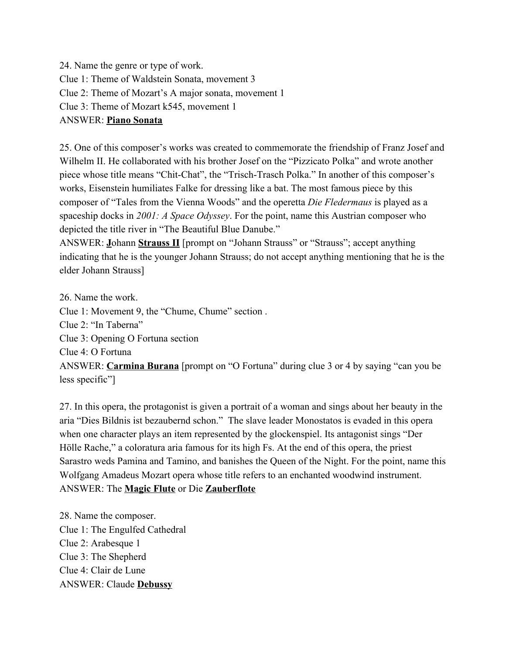24. Name the genre or type of work. Clue 1: Theme of Waldstein Sonata, movement 3 Clue 2: Theme of Mozart's A major sonata, movement 1 Clue 3: Theme of Mozart k545, movement 1 ANSWER: Piano Sonata

25. One of this composer's works was created to commemorate the friendship of Franz Josef and Wilhelm II. He collaborated with his brother Josef on the "Pizzicato Polka" and wrote another piece whose title means "Chit-Chat", the "Trisch-Trasch Polka." In another of this composer's works, Eisenstein humiliates Falke for dressing like a bat. The most famous piece by this composer of "Tales from the Vienna Woods" and the operetta Die Fledermaus is played as a spaceship docks in 2001: A Space Odyssey. For the point, name this Austrian composer who depicted the title river in "The Beautiful Blue Danube."

ANSWER: Johann Strauss II [prompt on "Johann Strauss" or "Strauss"; accept anything indicating that he is the younger Johann Strauss; do not accept anything mentioning that he is the elder Johann Strauss]

26. Name the work. Clue 1: Movement 9, the "Chume, Chume" section . Clue 2: "In Taberna" Clue 3: Opening O Fortuna section Clue 4: O Fortuna ANSWER: Carmina Burana [prompt on "O Fortuna" during clue 3 or 4 by saying "can you be less specific"]

27. In this opera, the protagonist is given a portrait of a woman and sings about her beauty in the aria "Dies Bildnis ist bezaubernd schon." The slave leader Monostatos is evaded in this opera when one character plays an item represented by the glockenspiel. Its antagonist sings "Der Hölle Rache," a coloratura aria famous for its high Fs. At the end of this opera, the priest Sarastro weds Pamina and Tamino, and banishes the Queen of the Night. For the point, name this Wolfgang Amadeus Mozart opera whose title refers to an enchanted woodwind instrument. ANSWER: The Magic Flute or Die Zauberflote

28. Name the composer. Clue 1: The Engulfed Cathedral Clue 2: Arabesque 1 Clue 3: The Shepherd Clue 4: Clair de Lune ANSWER: Claude Debussy